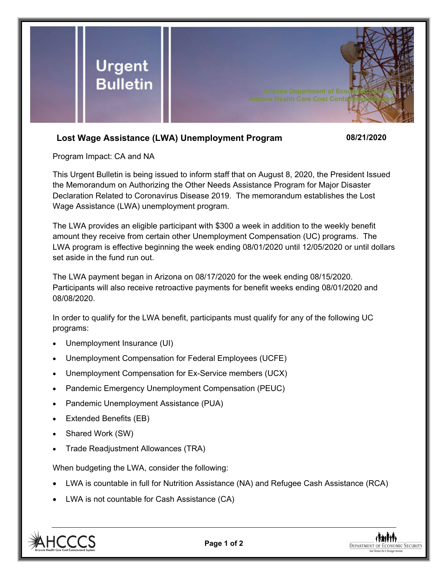

## **Lost Wage Assistance (LWA) Unemployment Program 08/21/2020**

Program Impact: CA and NA

This Urgent Bulletin is being issued to inform staff that on August 8, 2020, the President Issued the Memorandum on Authorizing the Other Needs Assistance Program for Major Disaster Declaration Related to Coronavirus Disease 2019. The memorandum establishes the Lost Wage Assistance (LWA) unemployment program.

The LWA provides an eligible participant with \$300 a week in addition to the weekly benefit amount they receive from certain other Unemployment Compensation (UC) programs. The LWA program is effective beginning the week ending 08/01/2020 until 12/05/2020 or until dollars set aside in the fund run out.

The LWA payment began in Arizona on 08/17/2020 for the week ending 08/15/2020. Participants will also receive retroactive payments for benefit weeks ending 08/01/2020 and 08/08/2020.

In order to qualify for the LWA benefit, participants must qualify for any of the following UC programs:

- Unemployment Insurance (UI)
- Unemployment Compensation for Federal Employees (UCFE)
- Unemployment Compensation for Ex-Service members (UCX)
- Pandemic Emergency Unemployment Compensation (PEUC)
- Pandemic Unemployment Assistance (PUA)
- Extended Benefits (EB)
- Shared Work (SW)
- Trade Readjustment Allowances (TRA)

When budgeting the LWA, consider the following:

- LWA is countable in full for Nutrition Assistance (NA) and Refugee Cash Assistance (RCA)
- LWA is not countable for Cash Assistance (CA)